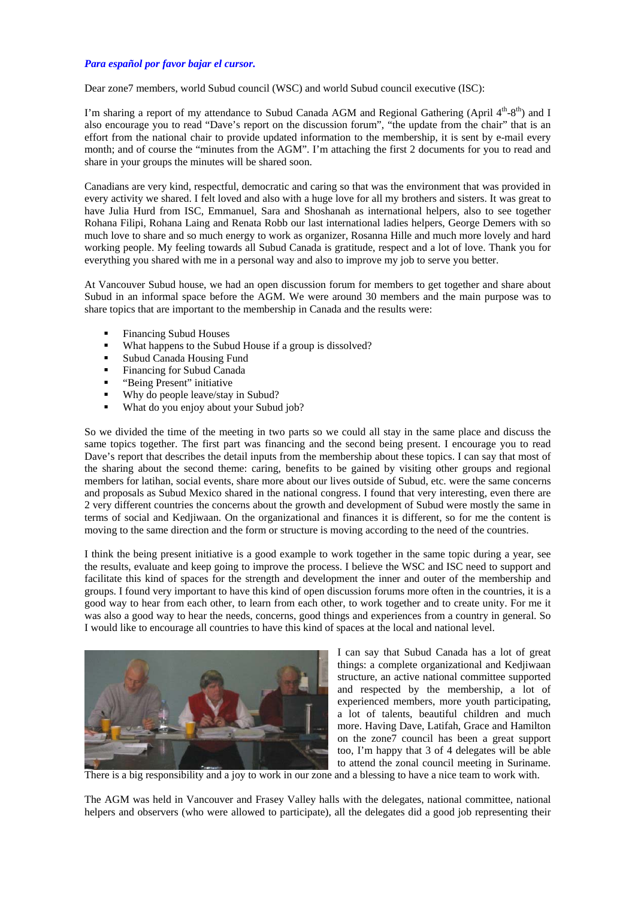## *Para español por favor bajar el cursor.*

Dear zone7 members, world Subud council (WSC) and world Subud council executive (ISC):

I'm sharing a report of my attendance to Subud Canada AGM and Regional Gathering (April  $4<sup>th</sup>$ -8<sup>th</sup>) and I also encourage you to read "Dave's report on the discussion forum", "the update from the chair" that is an effort from the national chair to provide updated information to the membership, it is sent by e-mail every month; and of course the "minutes from the AGM". I'm attaching the first 2 documents for you to read and share in your groups the minutes will be shared soon.

Canadians are very kind, respectful, democratic and caring so that was the environment that was provided in every activity we shared. I felt loved and also with a huge love for all my brothers and sisters. It was great to have Julia Hurd from ISC, Emmanuel, Sara and Shoshanah as international helpers, also to see together Rohana Filipi, Rohana Laing and Renata Robb our last international ladies helpers, George Demers with so much love to share and so much energy to work as organizer, Rosanna Hille and much more lovely and hard working people. My feeling towards all Subud Canada is gratitude, respect and a lot of love. Thank you for everything you shared with me in a personal way and also to improve my job to serve you better.

At Vancouver Subud house, we had an open discussion forum for members to get together and share about Subud in an informal space before the AGM. We were around 30 members and the main purpose was to share topics that are important to the membership in Canada and the results were:

- Financing Subud Houses
- What happens to the Subud House if a group is dissolved?
- Subud Canada Housing Fund
- **Financing for Subud Canada**
- **•** "Being Present" initiative
- Why do people leave/stay in Subud?
- What do you enjoy about your Subud job?

So we divided the time of the meeting in two parts so we could all stay in the same place and discuss the same topics together. The first part was financing and the second being present. I encourage you to read Dave's report that describes the detail inputs from the membership about these topics. I can say that most of the sharing about the second theme: caring, benefits to be gained by visiting other groups and regional members for latihan, social events, share more about our lives outside of Subud, etc. were the same concerns and proposals as Subud Mexico shared in the national congress. I found that very interesting, even there are 2 very different countries the concerns about the growth and development of Subud were mostly the same in terms of social and Kedjiwaan. On the organizational and finances it is different, so for me the content is moving to the same direction and the form or structure is moving according to the need of the countries.

I think the being present initiative is a good example to work together in the same topic during a year, see the results, evaluate and keep going to improve the process. I believe the WSC and ISC need to support and facilitate this kind of spaces for the strength and development the inner and outer of the membership and groups. I found very important to have this kind of open discussion forums more often in the countries, it is a good way to hear from each other, to learn from each other, to work together and to create unity. For me it was also a good way to hear the needs, concerns, good things and experiences from a country in general. So I would like to encourage all countries to have this kind of spaces at the local and national level.



I can say that Subud Canada has a lot of great things: a complete organizational and Kedjiwaan structure, an active national committee supported and respected by the membership, a lot of experienced members, more youth participating, a lot of talents, beautiful children and much more. Having Dave, Latifah, Grace and Hamilton on the zone7 council has been a great support too, I'm happy that 3 of 4 delegates will be able to attend the zonal council meeting in Suriname.

There is a big responsibility and a joy to work in our zone and a blessing to have a nice team to work with.

The AGM was held in Vancouver and Frasey Valley halls with the delegates, national committee, national helpers and observers (who were allowed to participate), all the delegates did a good job representing their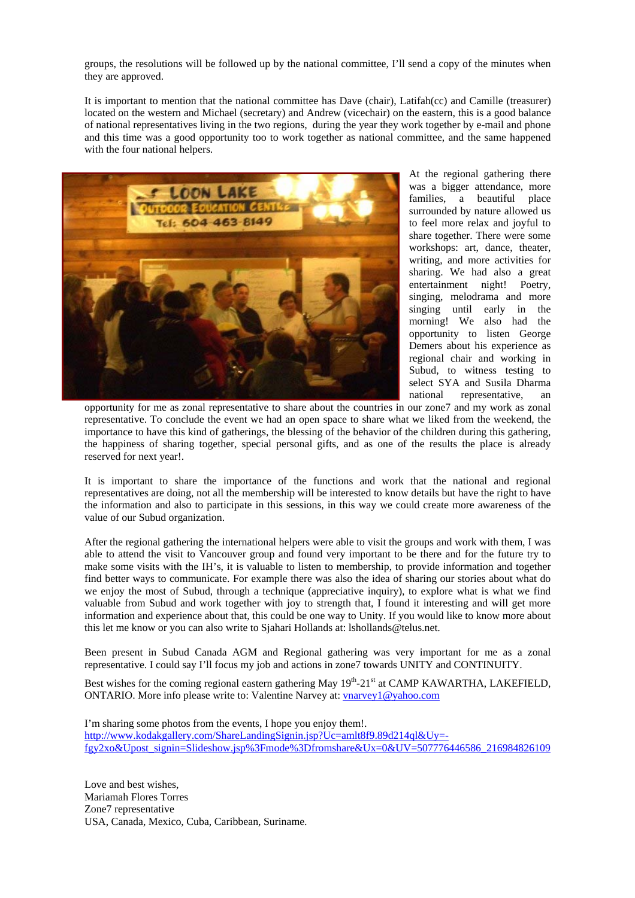groups, the resolutions will be followed up by the national committee, I'll send a copy of the minutes when they are approved.

It is important to mention that the national committee has Dave (chair), Latifah(cc) and Camille (treasurer) located on the western and Michael (secretary) and Andrew (vicechair) on the eastern, this is a good balance of national representatives living in the two regions, during the year they work together by e-mail and phone and this time was a good opportunity too to work together as national committee, and the same happened with the four national helpers.



At the regional gathering there was a bigger attendance, more families, a beautiful place surrounded by nature allowed us to feel more relax and joyful to share together. There were some workshops: art, dance, theater, writing, and more activities for sharing. We had also a great entertainment night! Poetry, singing, melodrama and more singing until early in the morning! We also had the opportunity to listen George Demers about his experience as regional chair and working in Subud, to witness testing to select SYA and Susila Dharma national representative, an

opportunity for me as zonal representative to share about the countries in our zone7 and my work as zonal representative. To conclude the event we had an open space to share what we liked from the weekend, the importance to have this kind of gatherings, the blessing of the behavior of the children during this gathering, the happiness of sharing together, special personal gifts, and as one of the results the place is already reserved for next year!.

It is important to share the importance of the functions and work that the national and regional representatives are doing, not all the membership will be interested to know details but have the right to have the information and also to participate in this sessions, in this way we could create more awareness of the value of our Subud organization.

After the regional gathering the international helpers were able to visit the groups and work with them, I was able to attend the visit to Vancouver group and found very important to be there and for the future try to make some visits with the IH's, it is valuable to listen to membership, to provide information and together find better ways to communicate. For example there was also the idea of sharing our stories about what do we enjoy the most of Subud, through a technique (appreciative inquiry), to explore what is what we find valuable from Subud and work together with joy to strength that, I found it interesting and will get more information and experience about that, this could be one way to Unity. If you would like to know more about this let me know or you can also write to Sjahari Hollands at: lshollands@telus.net.

Been present in Subud Canada AGM and Regional gathering was very important for me as a zonal representative. I could say I'll focus my job and actions in zone7 towards UNITY and CONTINUITY.

Best wishes for the coming regional eastern gathering May  $19^{th}$ -21st at CAMP KAWARTHA, LAKEFIELD, ONTARIO. More info please write to: Valentine Narvey at: vnarvey1@yahoo.com

I'm sharing some photos from the events, I hope you enjoy them!. http://www.kodakgallery.com/ShareLandingSignin.jsp?Uc=amlt8f9.89d214ql&Uy= fgy2xo&Upost\_signin=Slideshow.jsp%3Fmode%3Dfromshare&Ux=0&UV=507776446586\_216984826109

Love and best wishes, Mariamah Flores Torres Zone7 representative USA, Canada, Mexico, Cuba, Caribbean, Suriname.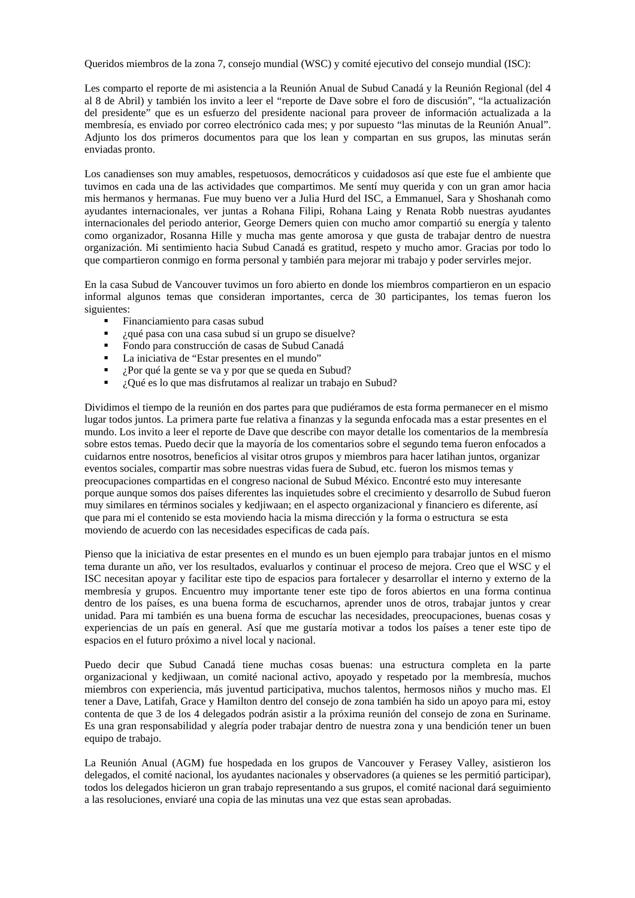Queridos miembros de la zona 7, consejo mundial (WSC) y comité ejecutivo del consejo mundial (ISC):

Les comparto el reporte de mi asistencia a la Reunión Anual de Subud Canadá y la Reunión Regional (del 4 al 8 de Abril) y también los invito a leer el "reporte de Dave sobre el foro de discusión", "la actualización del presidente" que es un esfuerzo del presidente nacional para proveer de información actualizada a la membresía, es enviado por correo electrónico cada mes; y por supuesto "las minutas de la Reunión Anual". Adjunto los dos primeros documentos para que los lean y compartan en sus grupos, las minutas serán enviadas pronto.

Los canadienses son muy amables, respetuosos, democráticos y cuidadosos así que este fue el ambiente que tuvimos en cada una de las actividades que compartimos. Me sentí muy querida y con un gran amor hacia mis hermanos y hermanas. Fue muy bueno ver a Julia Hurd del ISC, a Emmanuel, Sara y Shoshanah como ayudantes internacionales, ver juntas a Rohana Filipi, Rohana Laing y Renata Robb nuestras ayudantes internacionales del periodo anterior, George Demers quien con mucho amor compartió su energía y talento como organizador, Rosanna Hille y mucha mas gente amorosa y que gusta de trabajar dentro de nuestra organización. Mi sentimiento hacia Subud Canadá es gratitud, respeto y mucho amor. Gracias por todo lo que compartieron conmigo en forma personal y también para mejorar mi trabajo y poder servirles mejor.

En la casa Subud de Vancouver tuvimos un foro abierto en donde los miembros compartieron en un espacio informal algunos temas que consideran importantes, cerca de 30 participantes, los temas fueron los siguientes:

- **Financiamiento para casas subud**
- ¿qué pasa con una casa subud si un grupo se disuelve?
- Fondo para construcción de casas de Subud Canadá
- La iniciativa de "Estar presentes en el mundo"
- ¿Por qué la gente se va y por que se queda en Subud?
- ¿Qué es lo que mas disfrutamos al realizar un trabajo en Subud?

Dividimos el tiempo de la reunión en dos partes para que pudiéramos de esta forma permanecer en el mismo lugar todos juntos. La primera parte fue relativa a finanzas y la segunda enfocada mas a estar presentes en el mundo. Los invito a leer el reporte de Dave que describe con mayor detalle los comentarios de la membresía sobre estos temas. Puedo decir que la mayoría de los comentarios sobre el segundo tema fueron enfocados a cuidarnos entre nosotros, beneficios al visitar otros grupos y miembros para hacer latihan juntos, organizar eventos sociales, compartir mas sobre nuestras vidas fuera de Subud, etc. fueron los mismos temas y preocupaciones compartidas en el congreso nacional de Subud México. Encontré esto muy interesante porque aunque somos dos países diferentes las inquietudes sobre el crecimiento y desarrollo de Subud fueron muy similares en términos sociales y kedjiwaan; en el aspecto organizacional y financiero es diferente, así que para mi el contenido se esta moviendo hacia la misma dirección y la forma o estructura se esta moviendo de acuerdo con las necesidades especificas de cada país.

Pienso que la iniciativa de estar presentes en el mundo es un buen ejemplo para trabajar juntos en el mismo tema durante un año, ver los resultados, evaluarlos y continuar el proceso de mejora. Creo que el WSC y el ISC necesitan apoyar y facilitar este tipo de espacios para fortalecer y desarrollar el interno y externo de la membresía y grupos. Encuentro muy importante tener este tipo de foros abiertos en una forma continua dentro de los países, es una buena forma de escucharnos, aprender unos de otros, trabajar juntos y crear unidad. Para mi también es una buena forma de escuchar las necesidades, preocupaciones, buenas cosas y experiencias de un país en general. Así que me gustaría motivar a todos los países a tener este tipo de espacios en el futuro próximo a nivel local y nacional.

Puedo decir que Subud Canadá tiene muchas cosas buenas: una estructura completa en la parte organizacional y kedjiwaan, un comité nacional activo, apoyado y respetado por la membresía, muchos miembros con experiencia, más juventud participativa, muchos talentos, hermosos niños y mucho mas. El tener a Dave, Latifah, Grace y Hamilton dentro del consejo de zona también ha sido un apoyo para mi, estoy contenta de que 3 de los 4 delegados podrán asistir a la próxima reunión del consejo de zona en Suriname. Es una gran responsabilidad y alegría poder trabajar dentro de nuestra zona y una bendición tener un buen equipo de trabajo.

La Reunión Anual (AGM) fue hospedada en los grupos de Vancouver y Ferasey Valley, asistieron los delegados, el comité nacional, los ayudantes nacionales y observadores (a quienes se les permitió participar), todos los delegados hicieron un gran trabajo representando a sus grupos, el comité nacional dará seguimiento a las resoluciones, enviaré una copia de las minutas una vez que estas sean aprobadas.